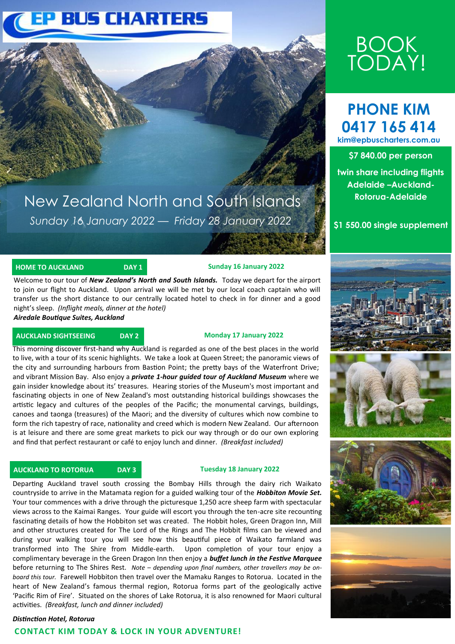# **EP BUS CHARTERS**

# New Zealand North and South Islands *Sunday 16 January 2022 — Friday 28 January 2022*

## **HOME TO AUCKLAND DAY 1** DAY 1 Sunday 16 January 2022

Welcome to our tour of *New Zealand's North and South Islands.* Today we depart for the airport to join our flight to Auckland. Upon arrival we will be met by our local coach captain who will transfer us the short distance to our centrally located hotel to check in for dinner and a good night's sleep. *(Inflight meals, dinner at the hotel)*

#### *Airedale Boutique Suites, Auckland*

### **AUCKLAND SIGHTSEEING DAY 2 Monday 17 January 2022**

This morning discover first-hand why Auckland is regarded as one of the best places in the world to live, with a tour of its scenic highlights. We take a look at Queen Street; the panoramic views of the city and surrounding harbours from Bastion Point; the pretty bays of the Waterfront Drive; and vibrant Mission Bay. Also enjoy a *private 1-hour guided tour of Auckland Museum* where we gain insider knowledge about its' treasures. Hearing stories of the Museum's most important and fascinating objects in one of New Zealand's most outstanding historical buildings showcases the artistic legacy and cultures of the peoples of the Pacific; the monumental carvings, buildings, canoes and taonga (treasures) of the Maori; and the diversity of cultures which now combine to form the rich tapestry of race, nationality and creed which is modern New Zealand. Our afternoon is at leisure and there are some great markets to pick our way through or do our own exploring and find that perfect restaurant or café to enjoy lunch and dinner. *(Breakfast included)*

### **AUCKLAND TO ROTORUA DAY 3 Tuesday 18 January 2022**

Departing Auckland travel south crossing the Bombay Hills through the dairy rich Waikato countryside to arrive in the Matamata region for a guided walking tour of the *Hobbiton Movie Set.* Your tour commences with a drive through the picturesque 1,250 acre sheep farm with spectacular views across to the Kaimai Ranges. Your guide will escort you through the ten-acre site recounting fascinating details of how the Hobbiton set was created. The Hobbit holes, Green Dragon Inn, Mill and other structures created for The Lord of the Rings and The Hobbit films can be viewed and during your walking tour you will see how this beautiful piece of Waikato farmland was transformed into The Shire from Middle-earth. Upon completion of your tour enjoy a complimentary beverage in the Green Dragon Inn then enjoy a *buffet lunch in the Festive Marquee*  before returning to The Shires Rest. *Note – depending upon final numbers, other travellers may be onboard this tour.* Farewell Hobbiton then travel over the Mamaku Ranges to Rotorua. Located in the heart of New Zealand's famous thermal region, Rotorua forms part of the geologically active 'Pacific Rim of Fire'. Situated on the shores of Lake Rotorua, it is also renowned for Maori cultural activities. *(Breakfast, lunch and dinner included)*

# *Distinction Hotel, Rotorua*  **CONTACT KIM TODAY & LOCK IN YOUR ADVENTURE!**

# BOOK TODAY!

# **PHONE KIM 0417 165 414 kim@epbuscharters.com.au**

**\$7 840.00 per person** 

**twin share including flights Adelaide –Auckland-Rotorua-Adelaide**

# **\$1 550.00 single supplement**







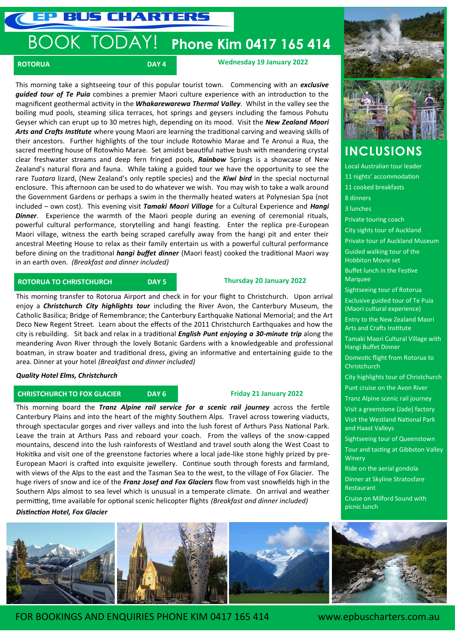**US CHARTERS** 

# BOOK TODAY! **Phone Kim 0417 165 414**

**ROTORUA** ROTORUA DAY 4 DAY 4 Wednesday 19 January 2022

This morning take a sightseeing tour of this popular tourist town. Commencing with an *exclusive guided tour of Te Puia* combines a premier Maori culture experience with an introduction to the magnificent geothermal activity in the *Whakarewarewa Thermal Valley*. Whilst in the valley see the boiling mud pools, steaming silica terraces, hot springs and geysers including the famous Pohutu Geyser which can erupt up to 30 metres high, depending on its mood. Visit the *New Zealand Maori Arts and Crafts Institute* where young Maori are learning the traditional carving and weaving skills of their ancestors. Further highlights of the tour include Rotowhio Marae and Te Aronui a Rua, the sacred meeting house of Rotowhio Marae. Set amidst beautiful native bush with meandering crystal clear freshwater streams and deep fern fringed pools, *Rainbow* Springs is a showcase of New Zealand's natural flora and fauna. While taking a guided tour we have the opportunity to see the rare *Tuatara* lizard, (New Zealand's only reptile species) and the *Kiwi bird* in the special nocturnal enclosure. This afternoon can be used to do whatever we wish. You may wish to take a walk around the Government Gardens or perhaps a swim in the thermally heated waters at Polynesian Spa (not included – own cost). This evening visit *Tamaki Maori Village* for a Cultural Experience and *Hangi*  **Dinner**. Experience the warmth of the Maori people during an evening of ceremonial rituals, powerful cultural performance, storytelling and hangi feasting. Enter the replica pre-European Maori village, witness the earth being scraped carefully away from the hangi pit and enter their ancestral Meeting House to relax as their family entertain us with a powerful cultural performance before dining on the traditional *hangi buffet dinner* (Maori feast) cooked the traditional Maori way in an earth oven. *(Breakfast and dinner included)*

## **ROTORUA TO CHRISTCHURCH DAY 5**

#### **Thursday 20 January 2022**

This morning transfer to Rotorua Airport and check in for your flight to Christchurch. Upon arrival enjoy a *Christchurch City highlights tour* including the River Avon, the Canterbury Museum, the Catholic Basilica; Bridge of Remembrance; the Canterbury Earthquake National Memorial; and the Art Deco New Regent Street. Learn about the effects of the 2011 Christchurch Earthquakes and how the city is rebuilding. Sit back and relax in a traditional *English Punt enjoying a 30-minute trip* along the meandering Avon River through the lovely Botanic Gardens with a knowledgeable and professional boatman, in straw boater and traditional dress, giving an informative and entertaining guide to the area. Dinner at your hotel *(Breakfast and dinner included)*

*Quality Hotel Elms, Christchurch*

### **CHRISTCHURCH TO FOX GLACIER DAY 6 Friday 21 January 2022**

This morning board the *Tranz Alpine rail service for a scenic rail journey* across the fertile Canterbury Plains and into the heart of the mighty Southern Alps. Travel across towering viaducts, through spectacular gorges and river valleys and into the lush forest of Arthurs Pass National Park. Leave the train at Arthurs Pass and reboard your coach. From the valleys of the snow-capped mountains, descend into the lush rainforests of Westland and travel south along the West Coast to Hokitika and visit one of the greenstone factories where a local jade-like stone highly prized by pre-European Maori is crafted into exquisite jewellery. Continue south through forests and farmland, with views of the Alps to the east and the Tasman Sea to the west, to the village of Fox Glacier. The huge rivers of snow and ice of the *Franz Josef and Fox Glaciers* flow from vast snowfields high in the Southern Alps almost to sea level which is unusual in a temperate climate. On arrival and weather permitting, time available for optional scenic helicopter flights *(Breakfast and dinner included)*

*Distinction Hotel, Fox Glacier* 



# **INCLUSIONS**

Local Australian tour leader 11 nights' accommodation 11 cooked breakfasts 8 dinners 3 lunches Private touring coach City sights tour of Auckland Private tour of Auckland Museum Guided walking tour of the Hobbiton Movie set Buffet lunch in the Festive Marquee Sightseeing tour of Rotorua Exclusive guided tour of Te Puia (Maori cultural experience) Entry to the New Zealand Maori Arts and Crafts Institute Tamaki Maori Cultural Village with Hangi Buffet Dinner Domestic flight from Rotorua to **Christchurch** City highlights tour of Christchurch Punt cruise on the Avon River Tranz Alpine scenic rail journey Visit a greenstone (Jade) factory Visit the Westland National Park and Haast Valleys Sightseeing tour of Queenstown Tour and tasting at Gibbston Valley **Winery** Ride on the aerial gondola Dinner at Skyline Stratosfare Restaurant Cruise on Milford Sound with picnic lunch



FOR BOOKINGS AND ENQUIRIES PHONE KIM 0417 165 414 www.epbuscharters.com.au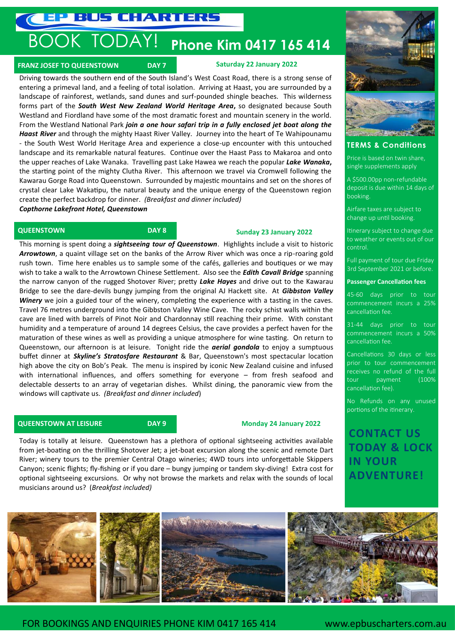**EP BUS CHARTERS** 

# BOOK TODAY! **Phone Kim 0417 165 414**

## **FRANZ JOSEF TO QUEENSTOWN DAY 7**

#### **Saturday 22 January 2022**

Driving towards the southern end of the South Island's West Coast Road, there is a strong sense of entering a primeval land, and a feeling of total isolation. Arriving at Haast, you are surrounded by a landscape of rainforest, wetlands, sand dunes and surf-pounded shingle beaches. This wilderness forms part of the *South West New Zealand World Heritage Area***,** so designated because South Westland and Fiordland have some of the most dramatic forest and mountain scenery in the world. From the Westland National Park *join a one hour safari trip in a fully enclosed jet boat along the Haast River* and through the mighty Haast River Valley. Journey into the heart of Te Wahipounamu - the South West World Heritage Area and experience a close-up encounter with this untouched landscape and its remarkable natural features. Continue over the Haast Pass to Makaroa and onto the upper reaches of Lake Wanaka. Travelling past Lake Hawea we reach the popular *Lake Wanaka***,** the starting point of the mighty Clutha River. This afternoon we travel via Cromwell following the Kawarau Gorge Road into Queenstown. Surrounded by majestic mountains and set on the shores of crystal clear Lake Wakatipu, the natural beauty and the unique energy of the Queenstown region create the perfect backdrop for dinner. *(Breakfast and dinner included)*

*Copthorne Lakefront Hotel, Queenstown* 

## **QUEENSTOWN DAY 8**

### **Sunday 23 January 2022**

This morning is spent doing a *sightseeing tour of Queenstown*. Highlights include a visit to historic *Arrowtown*, a quaint village set on the banks of the Arrow River which was once a rip-roaring gold rush town. Time here enables us to sample some of the cafés, galleries and boutiques or we may wish to take a walk to the Arrowtown Chinese Settlement. Also see the *Edith Cavall Bridge* spanning the narrow canyon of the rugged Shotover River; pretty *Lake Hayes* and drive out to the Kawarau Bridge to see the dare-devils bungy jumping from the original AJ Hackett site. At *Gibbston Valley Winery* we join a guided tour of the winery, completing the experience with a tasting in the caves. Travel 76 metres underground into the Gibbston Valley Wine Cave. The rocky schist walls within the cave are lined with barrels of Pinot Noir and Chardonnay still reaching their prime. With constant humidity and a temperature of around 14 degrees Celsius, the cave provides a perfect haven for the maturation of these wines as well as providing a unique atmosphere for wine tasting. On return to Queenstown, our afternoon is at leisure. Tonight ride the *aerial gondola* to enjoy a sumptuous buffet dinner at *Skyline's Stratosfare Restaurant* & Bar, Queenstown's most spectacular location high above the city on Bob's Peak. The menu is inspired by iconic New Zealand cuisine and infused with international influences, and offers something for everyone – from fresh seafood and delectable desserts to an array of vegetarian dishes. Whilst dining, the panoramic view from the windows will captivate us. *(Breakfast and dinner included*)

### **QUEENSTOWN AT LEISURE DAY 9 Monday 24 January 2022**

Today is totally at leisure. Queenstown has a plethora of optional sightseeing activities available from jet-boating on the thrilling Shotover Jet; a jet-boat excursion along the scenic and remote Dart River; winery tours to the premier Central Otago wineries; 4WD tours into unforgettable Skippers Canyon; scenic flights; fly-fishing or if you dare – bungy jumping or tandem sky-diving! Extra cost for optional sightseeing excursions. Or why not browse the markets and relax with the sounds of local musicians around us? (*Breakfast included)*



#### **TERMS & Conditions**

Price is based on twin share, single supplements apply

A \$500.00pp non-refundable deposit is due within 14 days of booking.

Airfare taxes are subject to change up until booking.

Itinerary subject to change due to weather or events out of our control.

Full payment of tour due Friday 3rd September 2021 or before.

#### **Passenger Cancellation fees**

45-60 days prior to tour commencement incurs a 25% cancellation fee.

31-44 days prior to tour commencement incurs a 50% cancellation fee.

Cancellations 30 days or less prior to tour commencement receives no refund of the full tour payment (100% cancellation fee).

No Refunds on any unused portions of the itinerary.

**CONTACT US TODAY & LOCK IN YOUR ADVENTURE!**